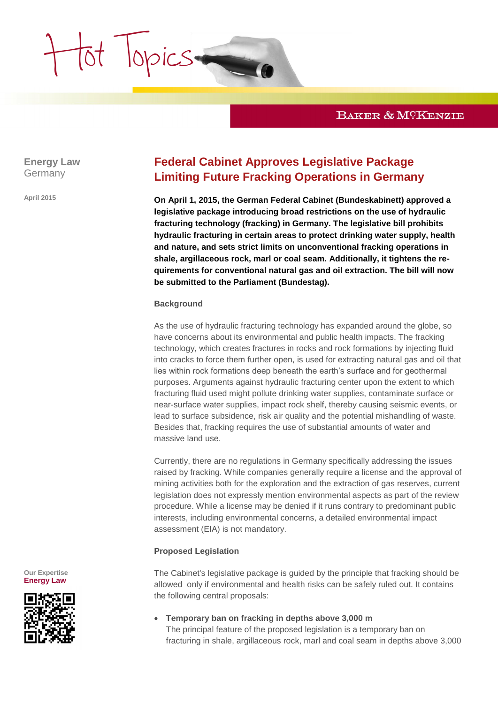

**Energy Law** Germany

Hot Topics

**April 2015**

# **Federal Cabinet Approves Legislative Package Limiting Future Fracking Operations in Germany**

**On April 1, 2015, the German Federal Cabinet (Bundeskabinett) approved a legislative package introducing broad restrictions on the use of hydraulic fracturing technology (fracking) in Germany. The legislative bill prohibits hydraulic fracturing in certain areas to protect drinking water supply, health and nature, and sets strict limits on unconventional fracking operations in shale, argillaceous rock, marl or coal seam. Additionally, it tightens the requirements for conventional natural gas and oil extraction. The bill will now be submitted to the Parliament (Bundestag).**

### **Background**

As the use of hydraulic fracturing technology has expanded around the globe, so have concerns about its environmental and public health impacts. The fracking technology, which creates fractures in rocks and rock formations by injecting fluid into cracks to force them further open, is used for extracting natural gas and oil that lies within rock formations deep beneath the earth's surface and for geothermal purposes. Arguments against hydraulic fracturing center upon the extent to which fracturing fluid used might pollute drinking water supplies, contaminate surface or near-surface water supplies, impact rock shelf, thereby causing seismic events, or lead to surface subsidence, risk air quality and the potential mishandling of waste. Besides that, fracking requires the use of substantial amounts of water and massive land use.

Currently, there are no regulations in Germany specifically addressing the issues raised by fracking. While companies generally require a license and the approval of mining activities both for the exploration and the extraction of gas reserves, current legislation does not expressly mention environmental aspects as part of the review procedure. While a license may be denied if it runs contrary to predominant public interests, including environmental concerns, a detailed environmental impact assessment (EIA) is not mandatory.

### **Proposed Legislation**

The Cabinet's legislative package is guided by the principle that fracking should be allowed only if environmental and health risks can be safely ruled out. It contains the following central proposals:

 **Temporary ban on fracking in depths above 3,000 m** The principal feature of the proposed legislation is a temporary ban on fracturing in shale, argillaceous rock, marl and coal seam in depths above 3,000

**Our Expertise [Energy Law](http://www.bakermckenzie.com/Germany/Energy/)**

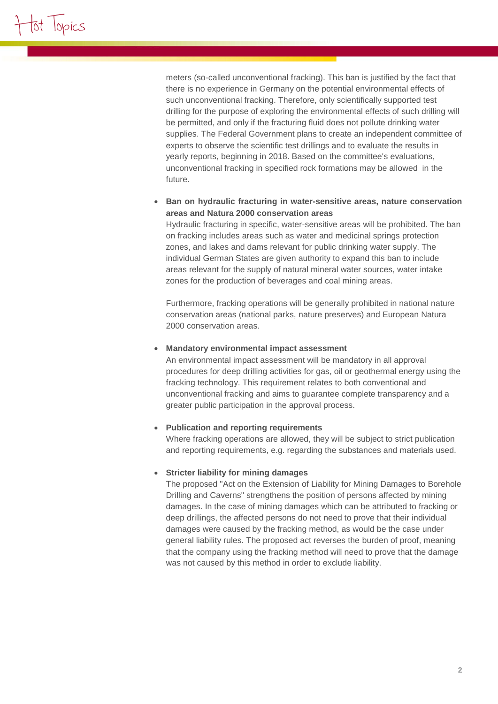meters (so-called unconventional fracking). This ban is justified by the fact that there is no experience in Germany on the potential environmental effects of such unconventional fracking. Therefore, only scientifically supported test drilling for the purpose of exploring the environmental effects of such drilling will be permitted, and only if the fracturing fluid does not pollute drinking water supplies. The Federal Government plans to create an independent committee of experts to observe the scientific test drillings and to evaluate the results in yearly reports, beginning in 2018. Based on the committee's evaluations, unconventional fracking in specified rock formations may be allowed in the future.

# **Ban on hydraulic fracturing in water-sensitive areas, nature conservation areas and Natura 2000 conservation areas**

Hydraulic fracturing in specific, water-sensitive areas will be prohibited. The ban on fracking includes areas such as water and medicinal springs protection zones, and lakes and dams relevant for public drinking water supply. The individual German States are given authority to expand this ban to include areas relevant for the supply of natural mineral water sources, water intake zones for the production of beverages and coal mining areas.

Furthermore, fracking operations will be generally prohibited in national nature conservation areas (national parks, nature preserves) and European Natura 2000 conservation areas.

# **Mandatory environmental impact assessment**

An environmental impact assessment will be mandatory in all approval procedures for deep drilling activities for gas, oil or geothermal energy using the fracking technology. This requirement relates to both conventional and unconventional fracking and aims to guarantee complete transparency and a greater public participation in the approval process.

# **Publication and reporting requirements**

Where fracking operations are allowed, they will be subject to strict publication and reporting requirements, e.g. regarding the substances and materials used.

# **Stricter liability for mining damages**

The proposed "Act on the Extension of Liability for Mining Damages to Borehole Drilling and Caverns" strengthens the position of persons affected by mining damages. In the case of mining damages which can be attributed to fracking or deep drillings, the affected persons do not need to prove that their individual damages were caused by the fracking method, as would be the case under general liability rules. The proposed act reverses the burden of proof, meaning that the company using the fracking method will need to prove that the damage was not caused by this method in order to exclude liability.